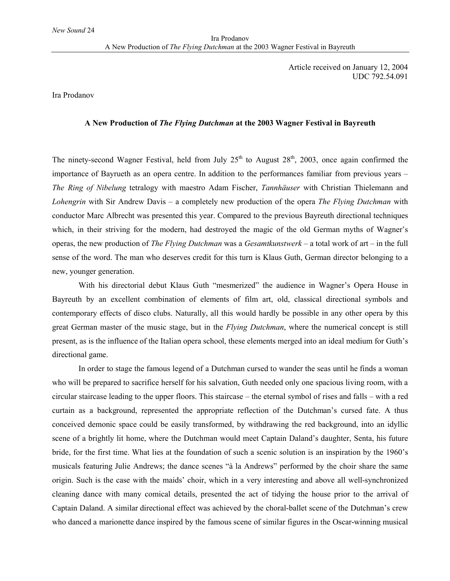Article received on January 12, 2004 UDC 792.54.091

Ira Prodanov

## **A New Production of** *The Flying Dutchman* **at the 2003 Wagner Festival in Bayreuth**

The ninety-second Wagner Festival, held from July  $25<sup>th</sup>$  to August  $28<sup>th</sup>$ , 2003, once again confirmed the importance of Bayrueth as an opera centre. In addition to the performances familiar from previous years – *The Ring of Nibelung* tetralogy with maestro Adam Fischer, *Tannhäuser* with Christian Thielemann and *Lohengrin* with Sir Andrew Davis – a completely new production of the opera *The Flying Dutchman* with conductor Marc Albrecht was presented this year. Compared to the previous Bayreuth directional techniques which, in their striving for the modern, had destroyed the magic of the old German myths of Wagner's operas, the new production of *The Flying Dutchman* was a *Gesamtkunstwerk* – a total work of art – in the full sense of the word. The man who deserves credit for this turn is Klaus Guth, German director belonging to a new, younger generation.

With his directorial debut Klaus Guth "mesmerized" the audience in Wagner's Opera House in Bayreuth by an excellent combination of elements of film art, old, classical directional symbols and contemporary effects of disco clubs. Naturally, all this would hardly be possible in any other opera by this great German master of the music stage, but in the *Flying Dutchman*, where the numerical concept is still present, as is the influence of the Italian opera school, these elements merged into an ideal medium for Guth's directional game.

In order to stage the famous legend of a Dutchman cursed to wander the seas until he finds a woman who will be prepared to sacrifice herself for his salvation, Guth needed only one spacious living room, with a circular staircase leading to the upper floors. This staircase – the eternal symbol of rises and falls – with a red curtain as a background, represented the appropriate reflection of the Dutchman's cursed fate. A thus conceived demonic space could be easily transformed, by withdrawing the red background, into an idyllic scene of a brightly lit home, where the Dutchman would meet Captain Daland's daughter, Senta, his future bride, for the first time. What lies at the foundation of such a scenic solution is an inspiration by the 1960's musicals featuring Julie Andrews; the dance scenes "à la Andrews" performed by the choir share the same origin. Such is the case with the maids' choir, which in a very interesting and above all well-synchronized cleaning dance with many comical details, presented the act of tidying the house prior to the arrival of Captain Daland. A similar directional effect was achieved by the choral-ballet scene of the Dutchman's crew who danced a marionette dance inspired by the famous scene of similar figures in the Oscar-winning musical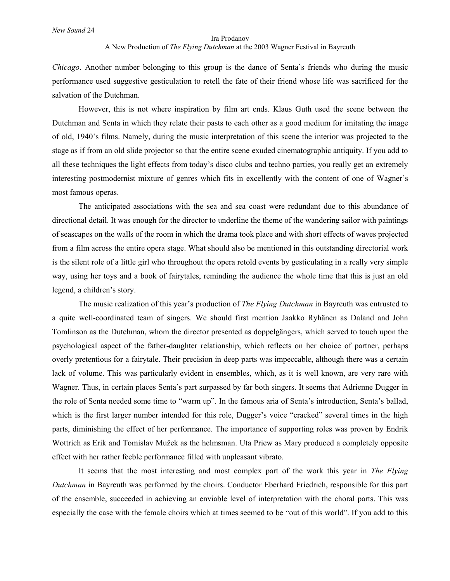*Chicago*. Another number belonging to this group is the dance of Senta's friends who during the music performance used suggestive gesticulation to retell the fate of their friend whose life was sacrificed for the salvation of the Dutchman.

However, this is not where inspiration by film art ends. Klaus Guth used the scene between the Dutchman and Senta in which they relate their pasts to each other as a good medium for imitating the image of old, 1940's films. Namely, during the music interpretation of this scene the interior was projected to the stage as if from an old slide projector so that the entire scene exuded cinematographic antiquity. If you add to all these techniques the light effects from today's disco clubs and techno parties, you really get an extremely interesting postmodernist mixture of genres which fits in excellently with the content of one of Wagner's most famous operas.

The anticipated associations with the sea and sea coast were redundant due to this abundance of directional detail. It was enough for the director to underline the theme of the wandering sailor with paintings of seascapes on the walls of the room in which the drama took place and with short effects of waves projected from a film across the entire opera stage. What should also be mentioned in this outstanding directorial work is the silent role of a little girl who throughout the opera retold events by gesticulating in a really very simple way, using her toys and a book of fairytales, reminding the audience the whole time that this is just an old legend, a children's story.

The music realization of this year's production of *The Flying Dutchman* in Bayreuth was entrusted to a quite well-coordinated team of singers. We should first mention Jaakko Ryhänen as Daland and John Tomlinson as the Dutchman, whom the director presented as doppelgängers, which served to touch upon the psychological aspect of the father-daughter relationship, which reflects on her choice of partner, perhaps overly pretentious for a fairytale. Their precision in deep parts was impeccable, although there was a certain lack of volume. This was particularly evident in ensembles, which, as it is well known, are very rare with Wagner. Thus, in certain places Senta's part surpassed by far both singers. It seems that Adrienne Dugger in the role of Senta needed some time to "warm up". In the famous aria of Senta's introduction, Senta's ballad, which is the first larger number intended for this role, Dugger's voice "cracked" several times in the high parts, diminishing the effect of her performance. The importance of supporting roles was proven by Endrik Wottrich as Erik and Tomislav Mužek as the helmsman. Uta Priew as Mary produced a completely opposite effect with her rather feeble performance filled with unpleasant vibrato.

It seems that the most interesting and most complex part of the work this year in *The Flying Dutchman* in Bayreuth was performed by the choirs. Conductor Eberhard Friedrich, responsible for this part of the ensemble, succeeded in achieving an enviable level of interpretation with the choral parts. This was especially the case with the female choirs which at times seemed to be "out of this world". If you add to this